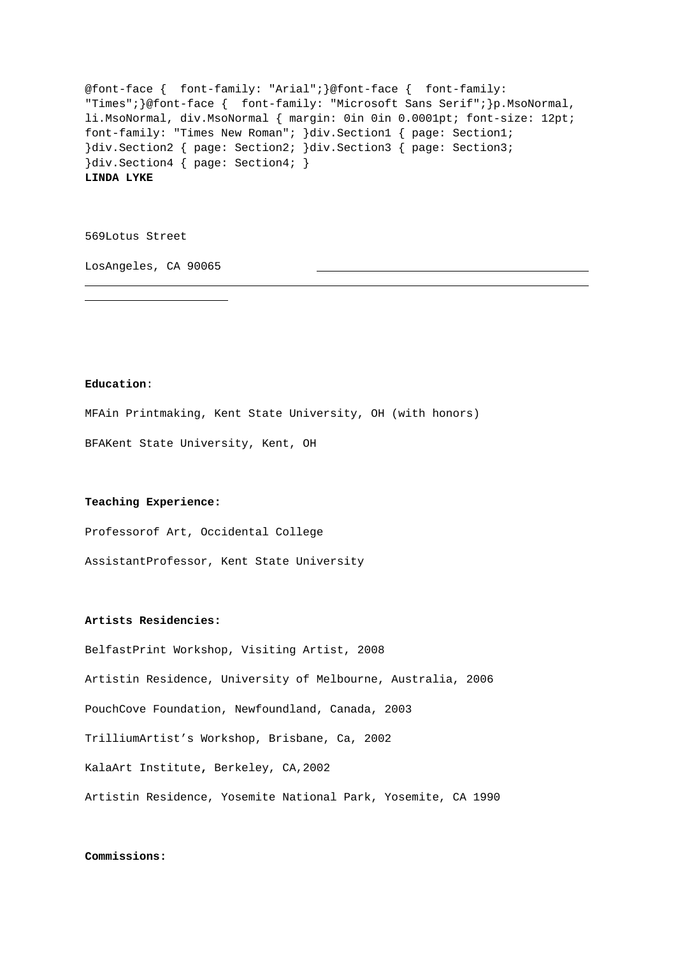@font-face { font-family: "Arial";}@font-face { font-family: "Times";}@font-face { font-family: "Microsoft Sans Serif";}p.MsoNormal, li.MsoNormal, div.MsoNormal { margin: 0in 0in 0.0001pt; font-size: 12pt; font-family: "Times New Roman"; }div.Section1 { page: Section1; }div.Section2 { page: Section2; }div.Section3 { page: Section3; }div.Section4 { page: Section4; } **LINDA LYKE**

569Lotus Street

LosAngeles, CA 90065

### **Education**:

i 

MFAin Printmaking, Kent State University, OH (with honors)

BFAKent State University, Kent, OH

## **Teaching Experience:**

Professorof Art, Occidental College

AssistantProfessor, Kent State University

#### **Artists Residencies:**

BelfastPrint Workshop, Visiting Artist, 2008 Artistin Residence, University of Melbourne, Australia, 2006 PouchCove Foundation, Newfoundland, Canada, 2003 TrilliumArtist's Workshop, Brisbane, Ca, 2002 KalaArt Institute**,** Berkeley, CA,2002 Artistin Residence, Yosemite National Park, Yosemite, CA 1990

### **Commissions:**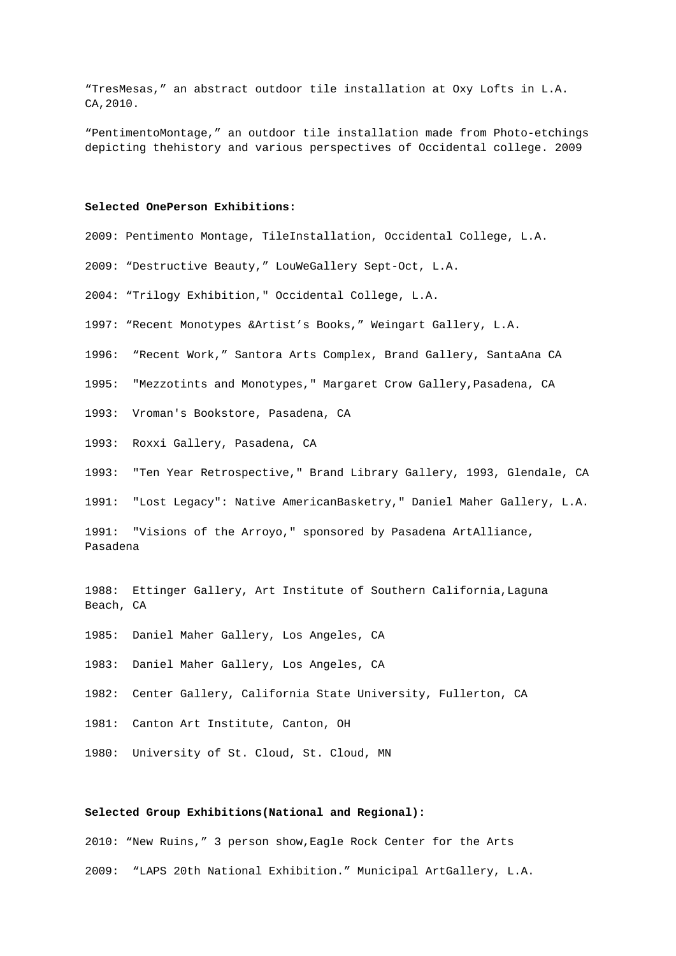"TresMesas," an abstract outdoor tile installation at Oxy Lofts in L.A. CA,2010.

"PentimentoMontage," an outdoor tile installation made from Photo-etchings depicting thehistory and various perspectives of Occidental college. 2009

## **Selected OnePerson Exhibitions:**

2009: Pentimento Montage, TileInstallation, Occidental College, L.A.

2009: "Destructive Beauty," LouWeGallery Sept-Oct, L.A.

2004: "Trilogy Exhibition," Occidental College, L.A.

- 1997: "Recent Monotypes &Artist's Books," Weingart Gallery, L.A.
- 1996: "Recent Work," Santora Arts Complex, Brand Gallery, SantaAna CA
- 1995: "Mezzotints and Monotypes," Margaret Crow Gallery,Pasadena, CA
- 1993: Vroman's Bookstore, Pasadena, CA
- 1993: Roxxi Gallery, Pasadena, CA

1993: "Ten Year Retrospective," Brand Library Gallery, 1993, Glendale, CA

1991: "Lost Legacy": Native AmericanBasketry," Daniel Maher Gallery, L.A.

1991: "Visions of the Arroyo," sponsored by Pasadena ArtAlliance, Pasadena

1988: Ettinger Gallery, Art Institute of Southern California,Laguna Beach, CA

- 1985: Daniel Maher Gallery, Los Angeles, CA
- 1983: Daniel Maher Gallery, Los Angeles, CA
- 1982: Center Gallery, California State University, Fullerton, CA
- 1981: Canton Art Institute, Canton, OH

1980: University of St. Cloud, St. Cloud, MN

## **Selected Group Exhibitions(National and Regional):**

2010: "New Ruins," 3 person show,Eagle Rock Center for the Arts 2009: "LAPS 20th National Exhibition." Municipal ArtGallery, L.A.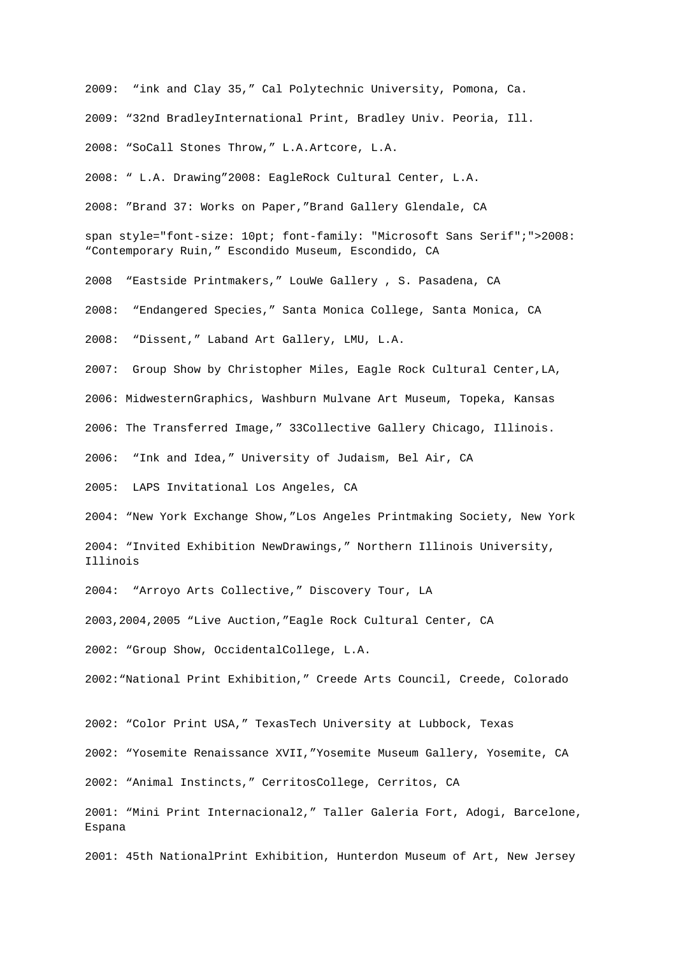2009: "ink and Clay 35," Cal Polytechnic University, Pomona, Ca. 2009: "32nd BradleyInternational Print, Bradley Univ. Peoria, Ill. 2008: "SoCall Stones Throw," L.A.Artcore, L.A.

2008: " L.A. Drawing"2008: EagleRock Cultural Center, L.A.

2008: "Brand 37: Works on Paper,"Brand Gallery Glendale, CA

span style="font-size: 10pt; font-family: "Microsoft Sans Serif";">2008: "Contemporary Ruin," Escondido Museum, Escondido, CA

2008 "Eastside Printmakers," LouWe Gallery , S. Pasadena, CA

2008: "Endangered Species," Santa Monica College, Santa Monica, CA

2008: "Dissent," Laband Art Gallery, LMU, L.A.

2007: Group Show by Christopher Miles, Eagle Rock Cultural Center,LA,

2006: MidwesternGraphics, Washburn Mulvane Art Museum, Topeka, Kansas

2006: The Transferred Image," 33Collective Gallery Chicago, Illinois.

2006: "Ink and Idea," University of Judaism, Bel Air, CA

2005: LAPS Invitational Los Angeles, CA

2004: "New York Exchange Show,"Los Angeles Printmaking Society, New York 2004: "Invited Exhibition NewDrawings," Northern Illinois University, Illinois

2004: "Arroyo Arts Collective," Discovery Tour, LA

2003,2004,2005 "Live Auction,"Eagle Rock Cultural Center, CA

2002: "Group Show, OccidentalCollege, L.A.

2002:"National Print Exhibition," Creede Arts Council, Creede, Colorado

2002: "Color Print USA," TexasTech University at Lubbock, Texas

2002: "Yosemite Renaissance XVII,"Yosemite Museum Gallery, Yosemite, CA

2002: "Animal Instincts," CerritosCollege, Cerritos, CA

2001: "Mini Print Internacional2," Taller Galeria Fort, Adogi, Barcelone, Espana

2001: 45th NationalPrint Exhibition, Hunterdon Museum of Art, New Jersey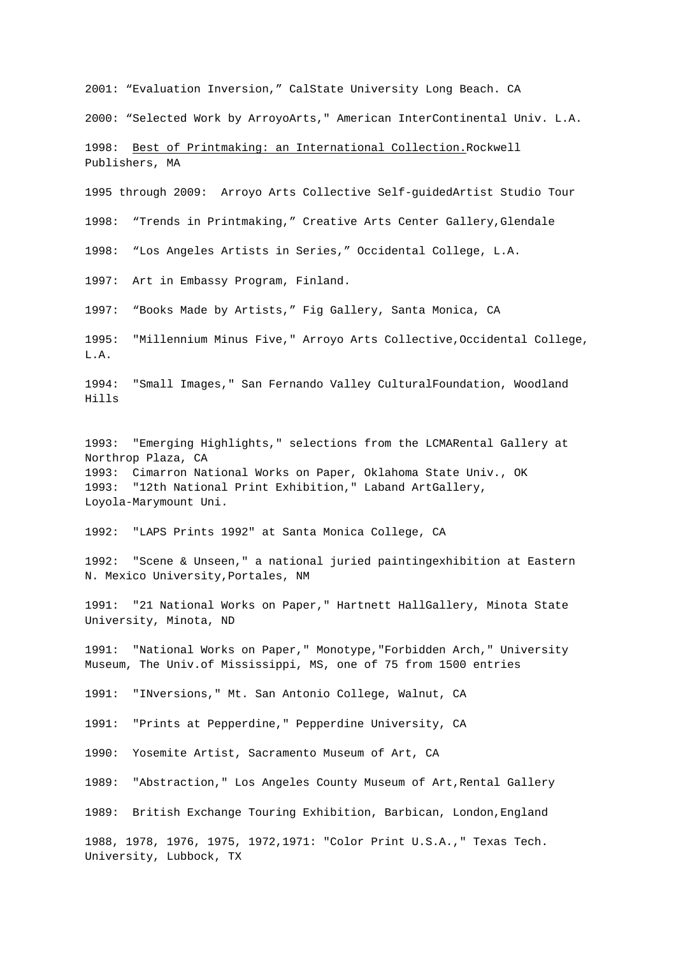2001: "Evaluation Inversion," CalState University Long Beach. CA

2000: "Selected Work by ArroyoArts," American InterContinental Univ. L.A.

1998: Best of Printmaking: an International Collection.Rockwell Publishers, MA

1995 through 2009: Arroyo Arts Collective Self-guidedArtist Studio Tour 1998: "Trends in Printmaking," Creative Arts Center Gallery,Glendale

1998: "Los Angeles Artists in Series," Occidental College, L.A.

1997: Art in Embassy Program, Finland.

1997: "Books Made by Artists," Fig Gallery, Santa Monica, CA

1995: "Millennium Minus Five," Arroyo Arts Collective,Occidental College, L.A.

1994: "Small Images," San Fernando Valley CulturalFoundation, Woodland Hills

1993: "Emerging Highlights," selections from the LCMARental Gallery at Northrop Plaza, CA 1993: Cimarron National Works on Paper, Oklahoma State Univ., OK 1993: "12th National Print Exhibition," Laband ArtGallery, Loyola-Marymount Uni.

1992: "LAPS Prints 1992" at Santa Monica College, CA

1992: "Scene & Unseen," a national juried paintingexhibition at Eastern N. Mexico University,Portales, NM

1991: "21 National Works on Paper," Hartnett HallGallery, Minota State University, Minota, ND

1991: "National Works on Paper," Monotype,"Forbidden Arch," University Museum, The Univ.of Mississippi, MS, one of 75 from 1500 entries

1991: "INversions," Mt. San Antonio College, Walnut, CA

1991: "Prints at Pepperdine," Pepperdine University, CA

1990: Yosemite Artist, Sacramento Museum of Art, CA

1989: "Abstraction," Los Angeles County Museum of Art,Rental Gallery

1989: British Exchange Touring Exhibition, Barbican, London,England

1988, 1978, 1976, 1975, 1972,1971: "Color Print U.S.A.," Texas Tech. University, Lubbock, TX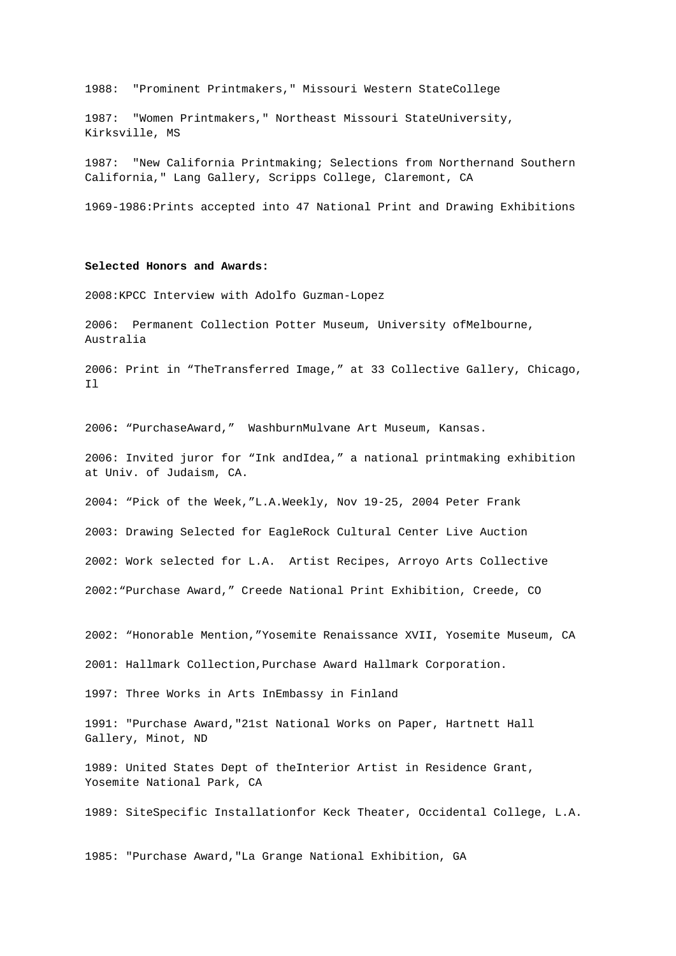1988: "Prominent Printmakers," Missouri Western StateCollege

1987: "Women Printmakers," Northeast Missouri StateUniversity, Kirksville, MS

1987: "New California Printmaking; Selections from Northernand Southern California," Lang Gallery, Scripps College, Claremont, CA

1969-1986:Prints accepted into 47 National Print and Drawing Exhibitions

# **Selected Honors and Awards:**

2008:KPCC Interview with Adolfo Guzman-Lopez

2006: Permanent Collection Potter Museum, University ofMelbourne, Australia

2006: Print in "TheTransferred Image," at 33 Collective Gallery, Chicago, Il

2006**:** "PurchaseAward," WashburnMulvane Art Museum, Kansas.

2006: Invited juror for "Ink andIdea," a national printmaking exhibition at Univ. of Judaism, CA.

2004: "Pick of the Week,"L.A.Weekly, Nov 19-25, 2004 Peter Frank

2003: Drawing Selected for EagleRock Cultural Center Live Auction 2002: Work selected for L.A. Artist Recipes, Arroyo Arts Collective 2002:"Purchase Award," Creede National Print Exhibition, Creede, CO

2002: "Honorable Mention,"Yosemite Renaissance XVII, Yosemite Museum, CA

2001: Hallmark Collection,Purchase Award Hallmark Corporation.

1997: Three Works in Arts InEmbassy in Finland

1991: "Purchase Award,"21st National Works on Paper, Hartnett Hall Gallery, Minot, ND

1989: United States Dept of theInterior Artist in Residence Grant, Yosemite National Park, CA

1989: SiteSpecific Installationfor Keck Theater, Occidental College, L.A.

1985: "Purchase Award,"La Grange National Exhibition, GA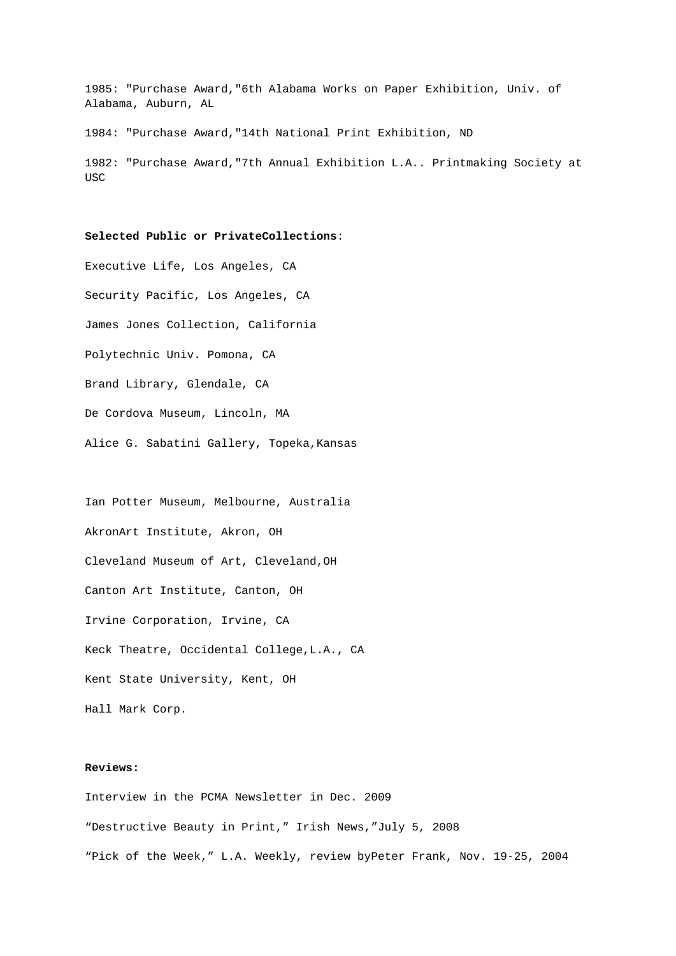1985: "Purchase Award,"6th Alabama Works on Paper Exhibition, Univ. of Alabama, Auburn, AL

1984: "Purchase Award,"14th National Print Exhibition, ND

1982: "Purchase Award,"7th Annual Exhibition L.A.. Printmaking Society at USC

**Selected Public or PrivateCollections**:

Executive Life, Los Angeles, CA Security Pacific, Los Angeles, CA James Jones Collection, California Polytechnic Univ. Pomona, CA Brand Library, Glendale, CA De Cordova Museum, Lincoln, MA Alice G. Sabatini Gallery, Topeka,Kansas

Ian Potter Museum, Melbourne, Australia AkronArt Institute, Akron, OH Cleveland Museum of Art, Cleveland,OH Canton Art Institute, Canton, OH Irvine Corporation, Irvine, CA Keck Theatre, Occidental College,L.A., CA Kent State University, Kent, OH Hall Mark Corp.

# **Reviews:**

Interview in the PCMA Newsletter in Dec. 2009 "Destructive Beauty in Print," Irish News,"July 5, 2008 "Pick of the Week," L.A. Weekly, review byPeter Frank, Nov. 19-25, 2004